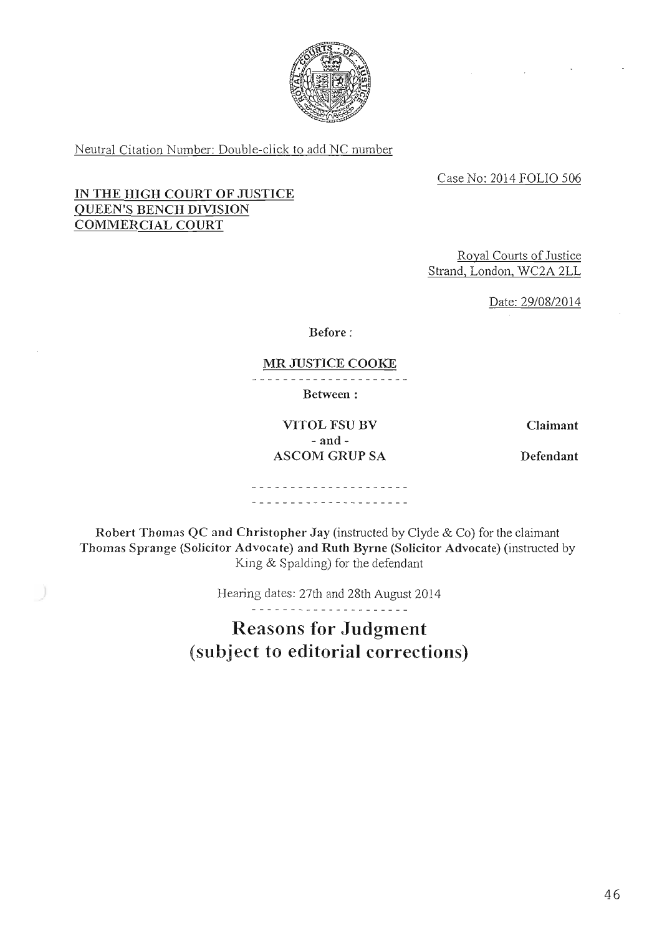

Neutral Citation Number: Double-click to add NC number

Case No: 2014 FOLIO 506

# IN THE HIGH COURT OF JUSTICE QUEEN'S BENCH DIVISION COMMERCIAL COURT

Royal Courts of Justice Strand, London, WC2A 2LL

Date: 29/08/2014

Before

### MR JUSTICE COOKE

Between

VITOL FSU BV Claimant - and - ASCOM GRUP SA Defendant

. . . . . . . . . . . . . . . . . . . . ---------------------

Robert Thomas QC and Christopher Jay (instructed by Clyde & Co) for the claimant Thomas Sprange (Solicitor Advocate) and Ruth Byrne (Solicitor Advocate) (instructed by King & Spalding) for the defendant

Hearing dates: 27th and 28th August 2014

. . *. .* . . . . . *.* . . . . . .

Reasons for Judgment (subject to editorial corrections)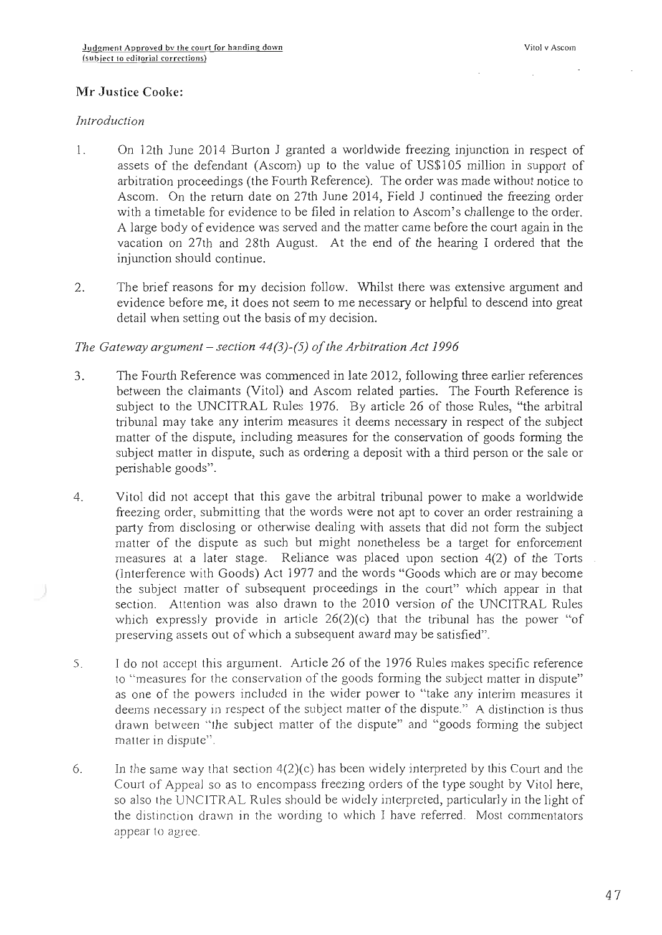# Mr Justice Cooke:

### Introduction

- 1. On 12th June 2014 Burton J granted a worldwide freezing injunction in respect of assets of the defendant (Ascom) up to the value of US\$105 million in support of arbitration proceedings (the Fourth Reference). The order was made without notice to Ascom. On the return date on 27th June 2014, Field J continued the freezing order with a timetable for evidence to be filed in relation to Ascom's challenge to the order. A large body of evidence was served and the matter came before the court again in the vacation on 27th and 28th August. At the end of the hearing I ordered that the injunction should continue.
- 2. The brief reasons for my decision follow. Whilst there was extensive argument and evidence before me, it does not seem to me necessary or helpful to descend into great detail when setting out the basis of my decision.

## The Gateway argument – section  $44(3)$ -(5) of the Arbitration Act 1996

- 3. The Fourth Reference was commenced in late 2012, following three earlier references between the claimants (Vitol) and Ascom related parties. The Fourth Reference is subject to the IJNCITRAL Rules 1976. By article 26 of those Rules, "the arbitral tribunal may take any interim measures it deems necessary in respect of the subject matter of the dispute, including measures for the conservation of goods forming the subject matter in dispute, such as ordering a deposit with a third person or the sale or perishable goods".
- 4. Vitol did not accept that this gave the arbitral tribunal power to make a worldwide freezing order, submitting that the words were not apt to cover an order restraining a party from disclosing or otherwise dealing with assets that did not form the subject matter of the dispute as such but might nonetheless be a target for enforcement measures at a later stage. Reliance was placed upon section 4(2) of the Torts (Interference with Goods) Act 1977 and the words "Goods which are or may become the subject matter of subsequent proceedings in the court" which appear in that section. Attention was also drawn to the 2010 version of the UNCITRAL Rules which expressly provide in article  $26(2)(c)$  that the tribunal has the power "of preserving assets out of which a subsequent award may be satisfied".
- 5. Ido not accept this argument. Article 26 of the 1976 Rules makes specific reference to "measures for the conservation of the goods forming the subject matter in dispute" as one of the powers included in the wider power to "take any interim measures it deems necessary in respect of the subject matter of the dispute." A distinction is thus drawn between "the subject matter of the dispute" and "goods forming the subject matter in dispute".
- 6. In the same way that section  $4(2)(c)$  has been widely interpreted by this Court and the Court of Appeal so as to encompass freezing orders of the type sought by Vitol here, so also the UNCITRAL Rules should be widely interpreted, particularly in the light of the distinction drawn in the wording to which I have referred. Most commentators appear to agree.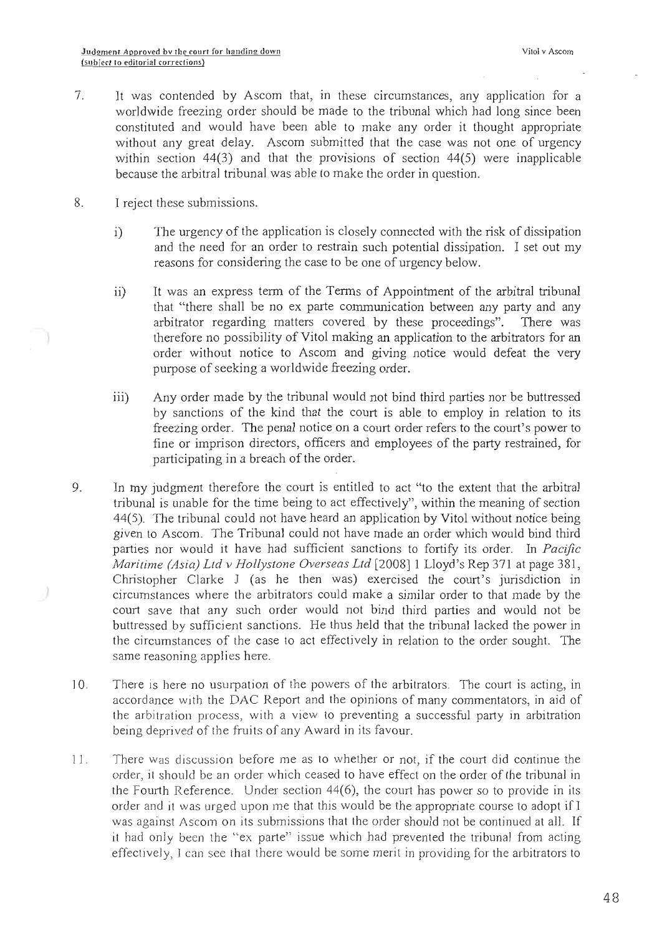- 7. It was contended by Ascom that, in these circumstances, any application for a worldwide freezing order should be made to the tribunal which had long since been constituted and would have been able to make any order it thought appropriate without any great delay. Ascom submitted that the case was not one of urgency within section  $44(3)$  and that the provisions of section  $44(5)$  were inapplicable because the arbitral tribunal was able to make the order in question.
- 8. I reject these submissions.
	- i) The urgency of the application is closely connected with the risk of dissipation and the need for an order to restrain such potential dissipation. I set out my reasons for considering the case to be one of urgency below.
	- ii) It was an express term of the Terms of Appointment of the arbitral tribunal that "there shall be no ex parte communication between any party and any arbitrator regarding matters covered by these proceedings". There was therefore no possibility of Vitol making an application to the arbitrators for an order without notice to Ascom and giving notice would defeat the very purpose of seeking a worldwide freezing order.
	- iii) Any order made by the tribunal would not bind third parties nor be buttressed by sanctions of the kind that the court is able to employ in relation to its freezing order. The penal notice on a court order refers to the court's power to fine or imprison directors, officers and employees of the party restrained, for participating in a breach of the order.
- 9. In my judgment therefore the court is entitled to act "to the extent that the arbitral tribunal is unable for the time being to act effectively", within the meaning of section 44(5). The tribunal could not have heard an application by Vitol without notice being given to Ascom. The Tribunal could not have made an order which would bind third parties nor would it have had sufficient sanctions to fortify its order. In Pacific Maritime (Asia) Ltd v Hollystone Overseas Ltd [2008] 1 Lloyd's Rep 371 at page 381, Christopher Clarke J (as he then was) exercised the court's jurisdiction in ~ circumstances where the arbitrators could make a similar order to that made by the court save that any such order would not bind third parties and would not be buttressed by sufficient sanctions. He thus held that the tribunal lacked the power in the circumstances of the case to act effectively in relation to the order sought. The same reasoning applies here.
- 10. There is here no usurpation of the powers of the arbitrators. The court is acting, in accordance with the DAC Report and the opinions of many commentators, in aid of the arbitration process, with a view to preventing a successful party in arbitration being deprived of the fruits of any Award in its favour.
- 11. There was discussion before me as to whether or not, if the court did continue the order, it should be an order which ceased to have effect on the order of the tribunal in the Fourth Reference. Under section 44(6), the court has power so to provide in its order and it was urged upon ine that this would be the appropriate course to adopt if I was against Ascom on its submissions that the order should not be continued at all. If it had only been the "ex parte" issue which had prevented the tribunal from acting effectively, l can see that there would be some merit in providing for the arbitrators to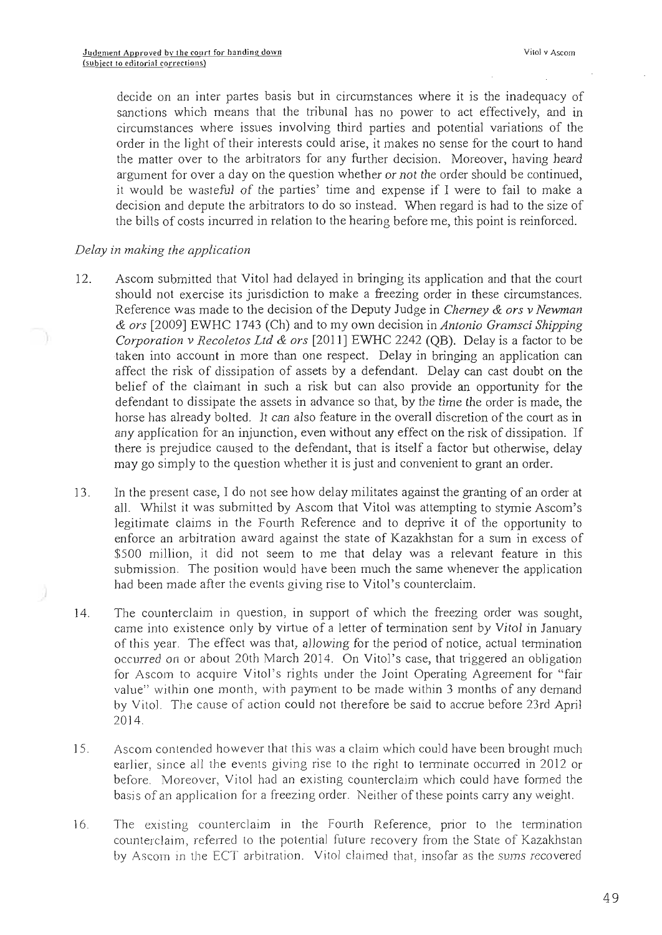decide on an inter partes basis but in circumstances where it is the inadequacy of sanctions which means that the tribunal has no power to act effectively, and in circumstances where issues involving third parties and potential variations of the order in the light of their interests could arise, it makes no sense for the court to hand the matter over to the arbitrators for any further decision. Moreover, having heard argument for over a day on the question whether or not the order should be continued, it would be wasteful of the parties' time and expense if I were to fail to make a decision and depute the arbitrators to do so instead. When regard is had to the size of the bills of costs incurred in relation to the hearing before me, this point is reinforced.

### Delay in making the application

- 12. Ascom submitted that Vitol had delayed in bringing its application and that the court should not exercise its jurisdiction to make a freezing order in these circumstances. Reference was made to the decision of the Deputy Judge in Cherney & ors v Newman & ors [2009] EWHC 1743 (Ch) and to my own decision in Antonio Gramsci Shipping Corporation v Recoletos Ltd & ors [2011] EWHC 2242 (QB). Delay is a factor to be taken into account in more than one respect. Delay in bringing an application can affect the risk of dissipation of assets by a defendant. Delay can cast doubt on the belief of the claimant in such a risk but can also provide an opportunity for the defendant to dissipate the assets in advance so that, by the time the order is made, the horse has already bolted. It can also feature in the overall discretion of the court as in any application for an injunction, even without any effect on the risk of dissipation. If there is prejudice caused to the defendant, that is itself a factor but otherwise, delay may go simply to the question whether it is just and convenient to grant an order.
- 13. In the present case, I do not see how delay militates against the granting of an order at all. Whilst it was submitted by Ascom that Vitol was attempting to stymie Ascom's legitimate claims in the Fourth Reference and to deprive it of the opportunity to enforce an arbitration award against the state of Kazakhstan for a sum in excess of \$500 million, it did not seem to me that delay was a relevant feature in this submission. The position would have been much the same whenever the application had been made after the events giving rise to Vitol's counterclaim.
- 14. The counterclaim in question, in support of which the freezing order was sought, came into existence only by virtue of a letter of termination sent by Vitol in 3anuary of this year. The effect was that, allowing for the period of notice, actual termination occurred on or about 20th March 2014. On Vitol's case, that triggered an obligation for Ascom to acquire Vitol's rights under the Joint Operating Agreement for "fair value'' within one month, with payment to be made within 3 months of any demand by Vitol. The cause of action could not therefore be said to accrue before 23rd April 2014.
- 15. Ascom contended however that this was a claim which could have been brought much earlier, since all the events giving rise to the right to terminate occurred in 2012 or before. Moreover, Vitol had an existing counterclaim which could have formed the basis of an application for a freezing order. Neither of these points carry any weight.
- ] 6. The existing counterclaim in the Fourth Reference, prior to the termination counterclaim, referred to the potential future recovery from the State of Kazakhstan by Ascom in the ECT arbitration. Vitol claimed that, insofar as the sums recovered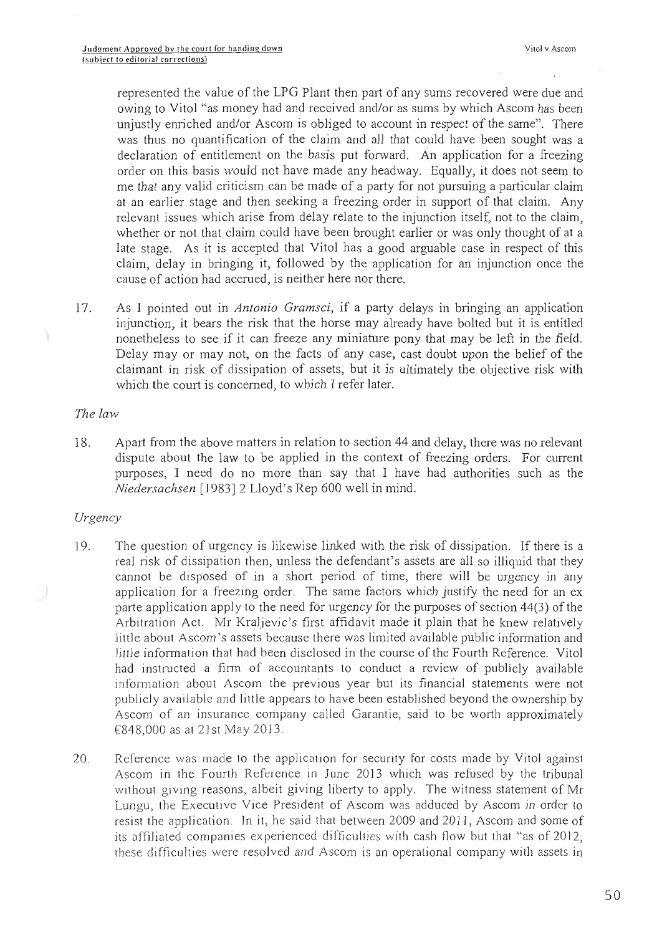represented the value of the LPG Plant then part of any sums recovered were due and owing to Vitol "as money had and received and/or as sums by which Ascom has been unjustly enriched and/or Ascom is obliged to account in respect of the same". There was thus no quantification of the claim and all that could have been sought was a declaration of entitlement on the basis put forward. An application for a freezing order on this basis would not have made any headway. Equally, it does not seem to me that any valid criticism can be made of a party for not pursuing a particular claim at an earlier stage and then seeking a freezing order in support of that claim. Any relevant issues which arise from delay relate to the injunction itself, not to the claim, whether or not that claim could have been brought earlier or was only thought of at a late stage. As it is accepted that Vitol has a good arguable case in respect of this claim, delay in bringing it, followed by the application for an injunction once the cause of action had accrued, is neither here nor there.

17. As I pointed out in Antonio Gramsci, if a party delays in bringing an application injunction, it bears the risk that the horse may already have bolted but it is entitled nonetheless to see if it can freeze any miniature pony that may be left in the field. Delay may or may not, on the facts of any case, cast doubt upon the belief of the claimant in risk of dissipation of assets, but it is ultimately the objective risk with which the court is concerned, to which I refer later.

### The law

18. Apart from the above matters in relation to section 44 and delay, there was no relevant dispute about the law to be applied in the context of freezing orders. For current purposes, I need do no more than say that I have had authorities such as the Niedersachsen [1983] 2 Lloyd's Rep 600 well in mind.

### Urgency

- 19. The question of urgency is likewise linked with the risk of dissipation. If there is a real risk of dissipation then, unless the defendant's assets are all so illiquid that they cannot be disposed of in a short period of time, there will be urgency in any application for a freezing order. The same factors which justify the need for an ex parte application apply to the need for urgency for the purposes of section 44(3) of the Arbitration Act. Mr Kraljevic's first affidavit made it plain that he knew relatively little about Ascom's assets because there was limited available public information and little information that had been disclosed in the course of the Fourth Reference. Vito) had instructed a firm of accountants to conduct a review of publicly available information about Ascom the previous year but its financial statements were not publicly available and little appears to have been established beyond the ownership by Ascom of an insurance company called Garantie, said to be worth approximately €848,000 as at 21st May 2013.
- 20. Reference was made to the application for security for costs made by Vitol against Ascom in the Fourth Reference in June 2013 which was refused by the tribunal without giving reasons, albeit giving liberty to apply. The witness statement of Mr Lungu, the Executive Vice President of Ascom was adduced by Ascom in order to resist the application. In it, he said that between 2009 and 2011, Ascom and some of its affiliated companies experienced difficulties with cash flow but that "as of 2012, these difficulties were resolved and Ascom is an operational company with assets in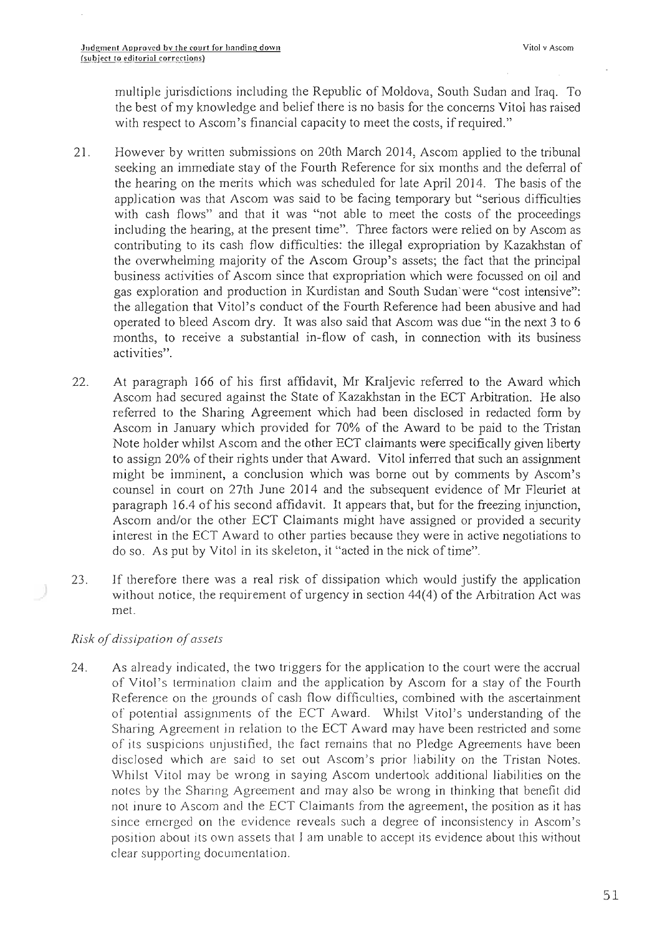multiple jurisdictions including the Republic of Moldova, South Sudan and Iraq. To the best of my knowledge and belief there is no basis for the concerns Vitoi has raised with respect to Ascom's financial capacity to meet the costs, if required."

- 21. However by written submissions on 20th March 2014, Ascom applied to the tribunal seeking an immediate stay of the Fourth Reference for six months and the deferral of the hearing on the merits which was scheduled for late April 2014. The basis of the application was that Ascom was said to be facing temporary but "serious difficulties with cash flows" and that it was "not able to meet the costs of the proceedings including the hearing, at the present time". Three factors were relied on by Ascom as contributing to its cash flow difficulties: the illegal expropriation by Kazakhstan of the overwhelming majority of the Ascom Group's assets; the fact that the principal business activities of Ascom since that expropriation which were focussed on oil and gas exploration and production in Kurdistan and South Sudan'were "cost intensive": the allegation that Vitol's conduct of the Fourth Reference had been abusive and had operated to bleed Ascom dry. It was also said that Ascom was due "in the next 3 to 6 months, to receive a substantial in-flow of cash, in connection with its business activities".
- 22. At paragraph 166 of his first affidavit, Mr Kraljevic referred to the Award which Ascom had secured against the State of Kazakhstan in the ECT Arbitration. He also referred to the Sharing Agreement which had been disclosed in redacted form by Ascom in January which provided for 70% of the Award to be paid to the Tristan Note holder whilst Ascom and the other ECT claimants were specifically given liberty to assign 20% of their rights under that Award. Vitol inferred that such an assignment might be imminent, a conclusion which was borne out by comments by Ascom's counsel in court on 27th June 2014 and the subsequent evidence of Mr Fleuriet at paragraph 16.4 of his second affidavit. It appears that, but for the freezing injunction, Ascom and/or the other ECT Claimants might have assigned or provided a security interest in the ECT Award to other parties because they were in active negotiations to do so. As put by Vitol in its skeleton, it "acted in the nick of time".
- 23. If therefore there was a real risk of dissipation which would justify the application without notice, the requirement of urgency in section 44(4) of the Arbitration Act was met.

## Risk of dissipation of assets

24. As already indicated, the two triggers for the application to the court were the accrual of Vitol's termination claim and the application by Ascom for a stay of the Fourth Reference on the grounds of cash flow difficulties, combined with the ascertainment of potential assignments of the ECT Award. Whilst Vitol's understanding of the Sharing Agreement in relation to the ECT Award may have been restricted and some of its suspicions unjustified, the fact remains that no Pledge Agreements have been disclosed which are said to set out Ascom's prior liability on the Tristan Notes. Whilst Vitol may be wrong in saying Ascom undertook additional liabilities on the notes by the Sharing Agreement and may also be wrong in thinking that benefit did not inure to Ascom and the ECT Claimants from the agreement, the position as it has since emerged on the evidence reveals such a degree of inconsistency in Ascom's position about its own assets that I am unable to accept its evidence about this without clear supporting documentation.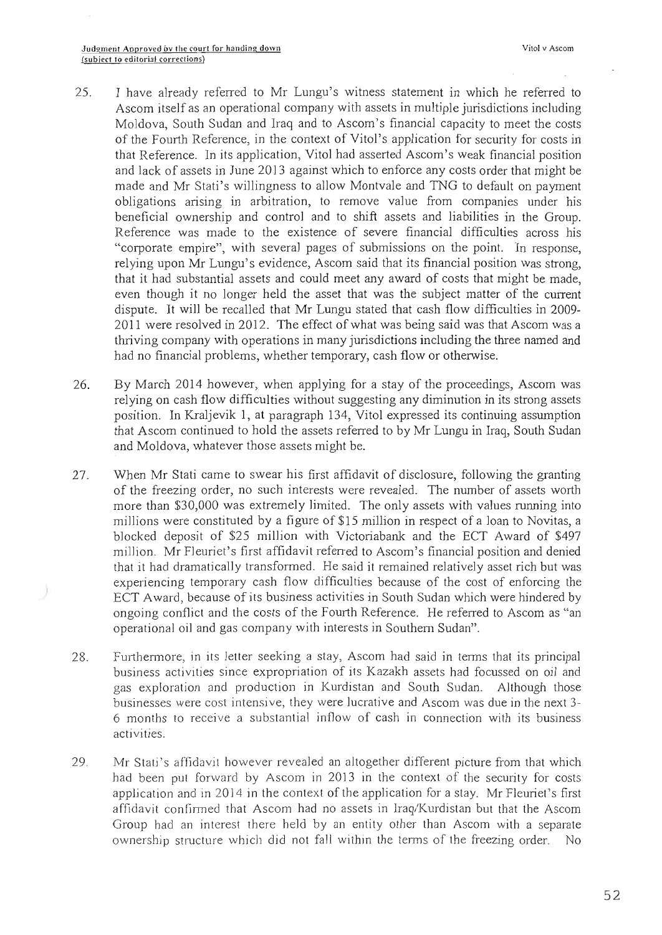- 25. I have already referred to Mr Lungu's witness statement in which he referred to Ascom itself as an operational company with assets in multiple jurisdictions including Moldova, South Sudan and Iraq and to Ascom's financial capacity to meet the costs of the Fourth Reference, in the context of Vito]'s application for security for costs in that Reference. In its application, Vitol had asserted Ascom's weak financial position and lack of assets in June 2013 against which to enforce any costs order that might be made and Mr Stati's willingness to allow Montvale and TNG to default on payment obligations arising in arbitration, to remove value from companies under his beneficial ownership and control and to shift assets and liabilities in the Group. Reference was made to the existence of severe financial difficulties across his "corporate empire", with several pages of submissions on the point. In response, relying upon Mr Lungu's evidence, Ascom said that its financial position was strong, that it had substantial assets and could meet any award of costs that might be made, even though it no longer held the asset that was the subject matter of the current dispute. It will be recalled that Mr Lungu stated that cash flow difficulties in 2009- 2011 were resolved in 2012. The effect of what was being said was that Ascom was a thriving company with operations in many jurisdictions including the three named and had no financial problems, whether temporary, cash flow or otherwise.
- 26. By March 2014 however, when applying for a stay of the proceedings, Ascom was relying on cash flow difficulties without suggesting any diminution in its strong assets position. In Kraljevik 1, at paragraph 134, Vitol expressed its continuing assumption that Ascom continued to hold the assets referred to by Mr Lungu in Iraq, South Sudan and Moldova, whatever those assets might be.
- 27. When Mr Stati came to swear his first affidavit of disclosure, following the granting of the freezing order, no such interests were revealed. The number of assets worth more than \$30,000 was extremely limited. The only assets with values running into millions were constituted by a figure of \$15 million in respect of a loan to Novitas, a blocked deposit of \$25 million with Victoriabank and the ECT Award of \$497 million. Mr Fleuriet's first affidavit refereed to Ascom's financial position and denied that it had dramatically transformed. He said it remained relatively asset rich but was experiencing temporary cash flow difficulties because of the cost of enforcing the ECT Award, because of its business activities in South Sudan which were hindered by ongoing conflict and the costs of the Fourth Reference. He referred to Ascom as "an operational oil and gas company with interests in Southern Sudan".
- 28. Furthermore, in its letter seeking a stay, Ascom had said in terms that its principal business activities since expropriation of its Kazakh assets had focussed on oil and gas exploration and production in Kurdistan and South Sudan. Although those businesses were cost intensive, they were lucrative and Ascom was due in the next 3- 6 months to receive a substantial inflow of cash in connection with its business activities.
- 29. Mr Stati's affidavit however revealed an altogether different picture from that which had been put forward by Ascom in 2013 in the context of the security for costs application and in 2014 in the context of the application for a stay. Mr Fleuriet's first affidavit confirmed that Ascom had no assets in Iraq/Kurdistan but that the Ascom Group had an interest there held by an entity other than Ascom with a separate ownership structure which did not fall within the terms of the freezing order. No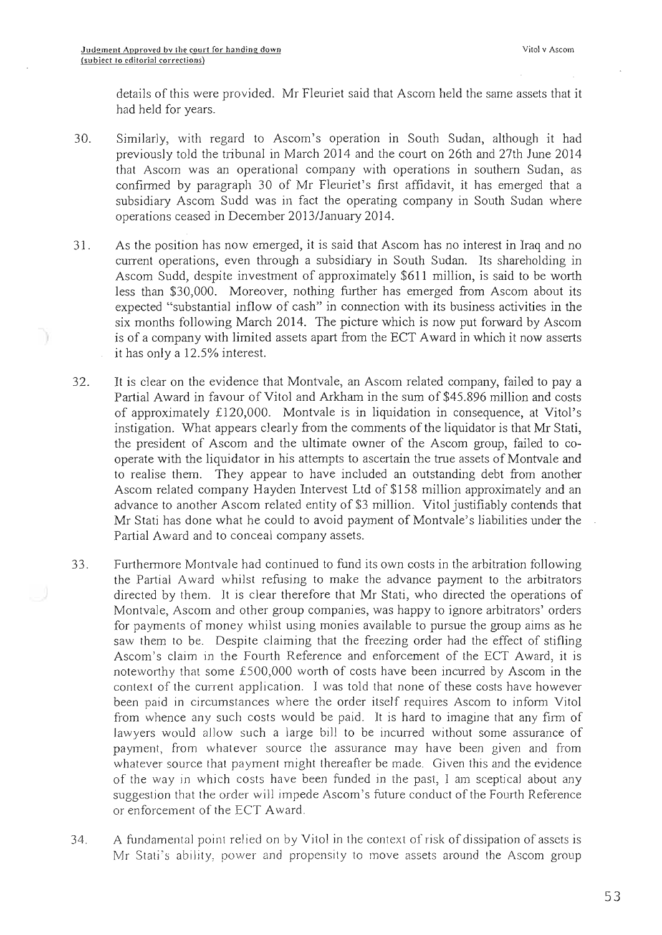details of this were provided. Mr Fleuriet said that Ascom held the same assets that it had held for years.

- 30. Similarly, with regard to Ascom's operation in South Sudan, although it had previously told the tribunal in March 2014 and the court on 26th and 27th June 2014 that Ascom was an operational company with operations in southern Sudan, as confirmed by paragraph 30 of Mr Fleuriet's first affidavit, it has emerged that a subsidiary Ascom Sudd was in fact the operating company in South Sudan where operations ceased in December 2013/January 2014.
- 31. As the position has now emerged, it is said that Ascom has no interest in Iraq and no current operations, even through a subsidiary in South Sudan. Its shareholding in Ascom Sudd, despite investment of approximately \$611 million, is said to be worth less than \$30,000. Moreover, nothing further has emerged from Ascom about its expected "substantial inflow of cash" in connection with its business activities in the six months following March 2014. The picture which is now put forward by Ascom is of a company with limited assets apart from the ECT Award in which it now asserts it has only a 12.5% interest.
- 32. It is clear on the evidence that Montvale, an Ascom related company, failed to pay a Partial Award in favour of Vitol and Arkham in the sum of \$45.896 million and costs of approximately £120,000. Montvale is in liquidation in consequence, at Vitol's instigation. What appears clearly from the comments of the liquidator is that Mr Stati, the president of Ascom and the ultimate owner of the Ascom group, failed to cooperate with the liquidator in his attempts to ascertain the true assets of Montvale and to realise them. They appear to have included an outstanding debt from another Ascom related company Hayden Intervest Ltd of \$158 million approximately and an advance to another Ascom related entity of \$3 million. Vitol justifiably contends that Mr Stati has done what he could to avoid payment of Montvale's liabilities under the Partial Award and to conceal company assets.
- 33. Furthermore Montvale had continued to fund its own costs in the arbitration following the Partial Award whilst refusing to make the advance payment to the arbitrators directed by them. It is clear therefore that Mr Stati, who directed the operations of Montvale, Ascom and other group companies, was happy to ignore arbitrators' orders for payments of money whilst using monies available to pursue the group aims as he saw them to be. Despite claiming that the freezing order had the effect of stifling Ascom's claim in the Fourth Reference and enforcement of the ECT Award, it is noteworthy that some £500,000 worth of costs have been incurred by Ascom in the context of the current application. 1 was told that none of these costs have however been paid in circumstances where the order itself requires Ascom to inform Vitol from whence any such costs would be paid. It is hard to imagine that any firm of lawyers would allow such a large bill to be incurred without some assurance of payment, from whatever source the assurance may have been given and from whatever source that payment might thereafter be made. Given this and the evidence of the way in which costs have been funded in the past, I am sceptical about any suggestion that the order will impede Ascom's future conduct of the Fourth Reference or enforcement of the ECT Award.
- 34. A fundamental point relied on by Vitol in the context of risk of dissipation of assets is Mr Stati's ability; power end propensity to move assets around the Ascom group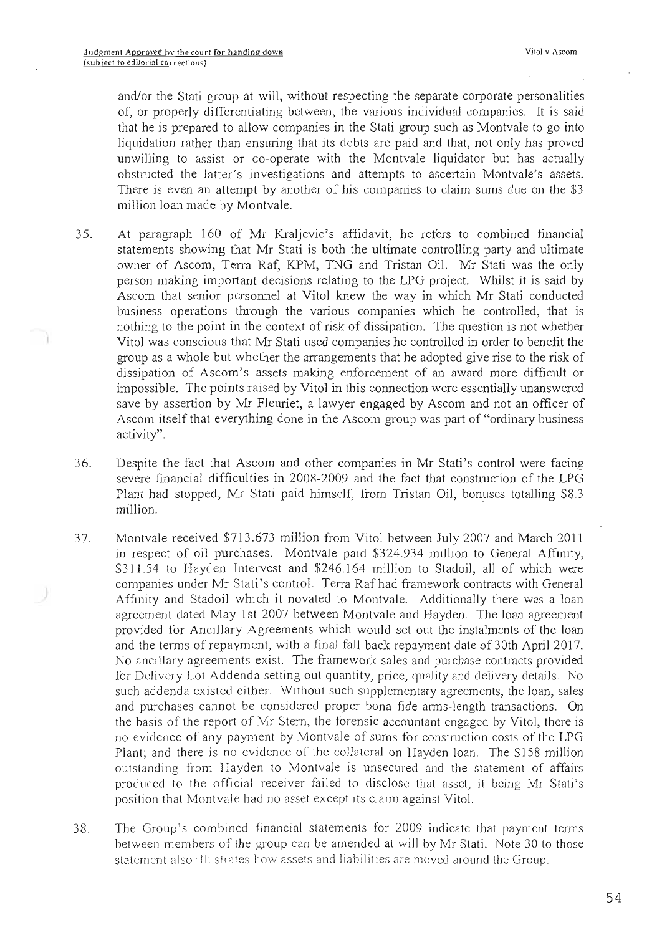and/or the Stati group at will, without respecting the separate corporate personalities of, or properly differentiating between, the various individual companies. It is said that he is prepared to allow companies in the Stati group such as Montvale to go into liquidation rather than ensuring that its debts are paid and that, not only has proved unwilling to assist or co-operate with the Montvale liquidator but has actually obstructed the latter's investigations and attempts to ascertain Montvale's assets. There is even an attempt by another of his companies to claim sums due on the \$3 million loan made by Montvale.

- 35. At paragraph 160 of Mr Kraljevic's affidavit, he refers to combined financial statements showing that Mr Stati is both the ultimate controlling party and ultimate owner of Ascom, Terra Raf, KPM, TNG and Tristan Oil. Mr Stati was the only person making important decisions relating to the LPG project. Whilst it is said by Ascom that senior personnel at Vitol knew the way in which Mr Stati conducted business operations through the various companies which he controlled, that is nothing to the point in the context of risk of dissipation. The question is not whether Vitol was conscious that Mr Stati used companies he controlled in order to benefit the group as a whole but whether the arrangements that he adopted give rise to the risk of dissipation of Ascom's assets making enforcement of an award more difficult or impossible. The points raised by Vitol in this connection were essentially unanswered save by assertion by Mr Fleuriet, a lawyer engaged by Ascom and not an officer of Ascom itself that everything done in the Ascom group was part of "ordinary business activity".
- 36. Despite the fact that Ascom and other companies in Mr Stati's control were facing severe financial difficulties in 2008-2009 and the fact that construction of the LPG Plant had stopped, Mr Stati paid himself, from Tristan Oil, bonuses totalling \$8.3 million.
- 37. Montvale received \$713.673 million from Vitol between July 2007 and March 2011 in respect of oil purchases. Montvale paid \$324.934 million to General Affinity, \$311.54 to Hayden Intervest and \$246.164 million to Stadoil, all of which were ~ companies under Mr Stati's control. Terra Raf had framework contracts with General Affinity and Stadoil which it novated to Montvale. Additionally there was a loan agreement dated May 1st 2007 between Montvale and Hayden. The loan agreement provided for Ancillary Agreements which would set out the instalments of the loan and the terms of repayment, with a final fall back repayment date of 30th April 2017. No ancillary agreements exist. The framework sales and purchase contracts provided for Delivery Lot Addenda setting out quantity, price, quality and delivery details. No such addenda existed either. Without such supplementary agreements, the loan, sales and purchases cannot be considered proper bona fide arms-length transactions. On the basis of the report of Mr Stern, the forensic accountant engaged by Vitol, there is no evidence of any payment by Montvale of sums for construction costs of the LPG Plant; and there is no evidence of the collateral on Hayden loan. The \$158 million outstanding from Hayden to Montvale is unsecured and the statement of affairs produced to the official receiver failed to disclose that asset, it being Mr Stati's position that Montvale had no asset except its claim against Vitol.
- 38. The Group's combined financial statements for 2009 indicate that payment terms between members of the group can be amended at will by Mr Stati. Note 30 to those statement also illustrates how assets and liabilities are moved around the Group.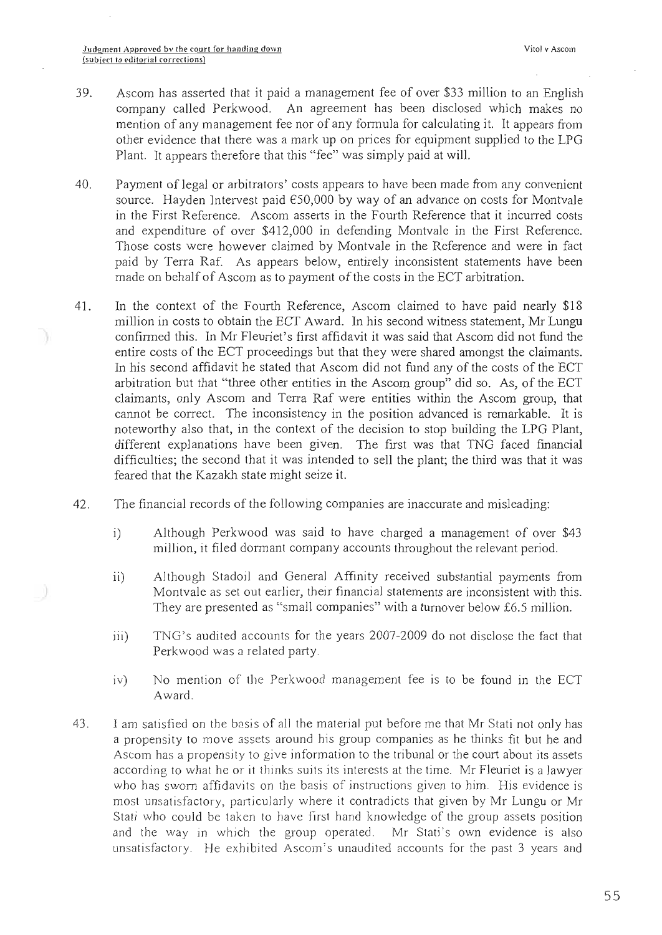- 39. Ascom has asserted that it paid a management fee of over \$33 million to an English company called Perkwood. An agreement has been disclosed which makes no mention of any management fee nor of any formula for calculating it. It appears from other evidence that there was a mark up on prices for equipment supplied to the LPG Plant. It appears therefore that this "fee" was simply paid at will.
- 40. Payment of legal or arbitrators' costs appears to have been made from any convenient source. Hayden Intervest paid  $€50,000$  by way of an advance on costs for Montvale in the First Reference. Ascom asserts in the Fourth Reference that it incurred costs and expenditure of over \$412,000 in defending Montvale in the First Reference. Those costs were however claimed by Montvale in the Reference and were in fact paid by Terra Raf. As appears below, entirely inconsistent statements have been made on behalf of Ascom as to payment of the costs in the ECT arbitration.
- 41. In the context of the Fourth Reference, Ascom claimed to have paid nearly \$18 million in costs to obtain the ECT Award. In his second witness statement, Mr Lungu confirmed this. In Mr Fleuriet's first affidavit it was said that Ascom did not fund the entire costs of the ECT proceedings but that they were shared amongst the claimants. In his second affidavit he stated that Ascom did not fund any of the costs of the ECT arbitration but that "three other entities in the Ascom group" did so. As, of the ECT claimants, only Ascom and Terra Raf were entiries within the Ascom group, that cannot be correct. The inconsistency in the position advanced is remarkable. It is noteworthy also that, in the context of the decision to stop building the LPG Plant, different explanations have been given. The first was that TNG faced financial difficulties; the second that it was intended to sell the plant; the third was that it was feared that the Kazakh state might seize it.
- 42. The financial records of the following companies are inaccurate and misleading:
	- i) Although Perkwood was said to have charged a management of over \$43 million, it filed dormant company accounts throughout the relevant period.
	- ii) Although Stadoil and General Affinity received substantial payments from Montvale as set out earlier, their financial statements are inconsistent with this. They are presented as "small companies" with a turnover below £6.5 million.
	- iii) TNG's audited accounts for the years 2007-2009 do not disclose the fact that Perkwood was a related party.
	- iv) No mention of the Perkwood management fee is to be found in the ECT Award.
- 43. I am satisfied on the basis of all the material put before me that Mr Stati not only has a propensity to move assets around his group companies as he thinks fit but he and Ascom has a propensity to give information to the tribunal or the court about its assets according to what he or it thinks suits its interests at the time. Mr Fleuriet is a lawyer who has sworn affidavits on the basis of instructions given to him. His evidence is most unsatisfactory, particularly where it contradicts that given by Mr Lungu or Mr Stati who could be taken to have first hand knowledge of the group assets position and the way in which the group operated. Mr Stati's own evidence is also unsatisfactory. He exhibited Ascom's unaudited accounts for the past 3 years and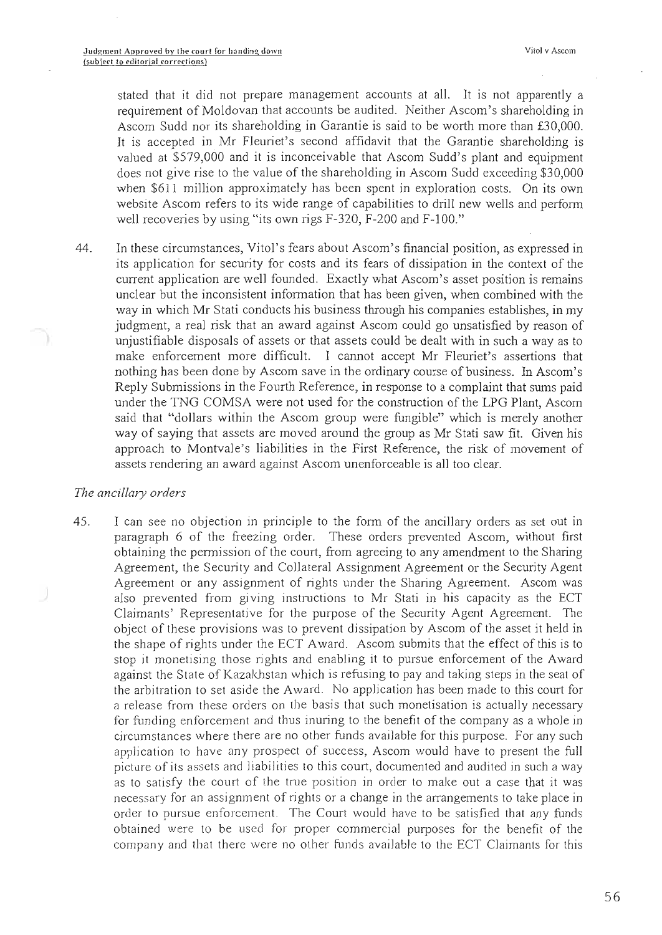stated that it did not prepare management accounts at all. It is not apparently a requirement of Moldovan that accounts be audited. Neither Ascom's shareholding in Ascom Sudd nor its shareholding in Garantie is said to be worth more than £30,000. It is accepted in Mr Fleuriet's second affidavit that the Garantie shareholding is valued at \$579,000 and it is inconceivable that Ascom Sudd's plant and equipment does not give rise to the value of the shareholding in Ascom Sudd exceeding \$30,000 when \$611 million approximately has been spent in exploration costs. On its own website Ascom refers to its wide range of capabilities to drill new wells and perform well recoveries by using "its own rigs F-320, F-200 and F-100."

44. In these circumstances, Vitol's fears about Ascom's financial position, as expressed in its application for security for costs and its fears of dissipation in the context of the current application are well founded. Exactly what Ascom's asset position is remains unclear but the inconsistent information that has been given, when combined with the way in which Mr Stati conducts his business through his companies establishes, in my judgment, a real risk that an award against Ascom could go unsatisfied by reason of unjustifiable disposals of assets or that assets could be dealt with in such a way as to make enforcement more difficult. I cannot accept Mr Fleuriet's assertions that nothing has been done by Ascom save in the ordinary course of business. In Ascom's Reply Submissions in the Fourth Reference, in response to a complaint that sums paid under the TNG COMSA were not used for the construction of the LPG Plant, Ascom said that "dollars within the Ascom group were fungible" which is merely another way of saying that assets are moved around the group as Mr Stati saw fit. Given his approach to Montvale's liabilities in the First Reference, the risk of movement of assets rendering an award against Ascom unenforceable is all too clear.

#### The ancillary orders

45. I can see no objection in principle to the form of the ancillary orders as set out in paragraph 6 of the freezing order. These orders prevented Ascom, without first obtaining the perrnission of the court, from agreeing to any amendment to the Sharing Agreement, the Security and Collateral Assignment Agreement or the Security Agent Agreement or any assignment of rights under the Sharing Agreement. Ascom was also prevented from giving instructions to Mr Stati in his capacity as the ECT Claimants' Representative for the purpose of the Security Agent Agreement. The object of these provisions was to prevent dissipation by Ascom of the asset it held in the shape of rights under the ECT Award. Ascom submits that the effect of this is to stop it monetising those rights and enabling it to pursue enforcement of the Award against the State of Kazakhstan which is refusing to pay and taking steps in the seat of the arbitration to set aside the Award. No application has been made to this court for a release from these orders on the basis that such monetisation is actually necessary for funding enforcement and thus inuring to the benefit of the company as a whole in circumstances where there are no other funds available for this purpose. For any such application to have any prospect of success, Ascom would have to present the full picture of its assets and liabilities to this court, documented and audited in such a way as to satisfy the court of the true position in order to make out a case that it was necessary for an assignment of rights or a change in the arrangements to take place in order to pursue enforcement. The Court would have to be satisfied that any funds obtained were to be used for proper commercial purposes for the benefit of the company and that there were no other fiands available to the ECT Claimants for this